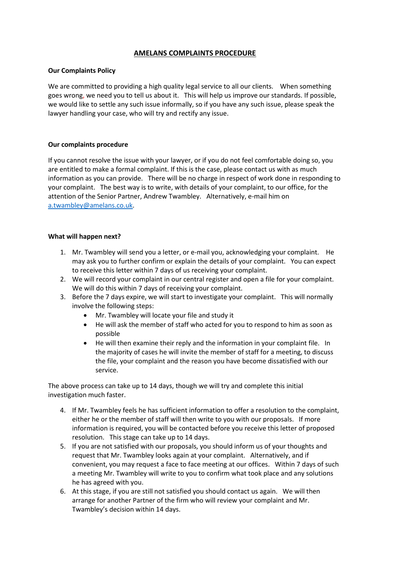# **AMELANS COMPLAINTS PROCEDURE**

# **Our Complaints Policy**

We are committed to providing a high quality legal service to all our clients. When something goes wrong, we need you to tell us about it. This will help us improve our standards. If possible, we would like to settle any such issue informally, so if you have any such issue, please speak the lawyer handling your case, who will try and rectify any issue.

# **Our complaints procedure**

If you cannot resolve the issue with your lawyer, or if you do not feel comfortable doing so, you are entitled to make a formal complaint. If this is the case, please contact us with as much information as you can provide. There will be no charge in respect of work done in responding to your complaint. The best way is to write, with details of your complaint, to our office, for the attention of the Senior Partner, Andrew Twambley. Alternatively, e-mail him on [a.twambley@amelans.co.uk.](mailto:a.twambley@amelans.co.uk)

# **What will happen next?**

- 1. Mr. Twambley will send you a letter, or e-mail you, acknowledging your complaint. He may ask you to further confirm or explain the details of your complaint. You can expect to receive this letter within 7 days of us receiving your complaint.
- 2. We will record your complaint in our central register and open a file for your complaint. We will do this within 7 days of receiving your complaint.
- 3. Before the 7 days expire, we will start to investigate your complaint. This will normally involve the following steps:
	- Mr. Twambley will locate your file and study it
	- He will ask the member of staff who acted for you to respond to him as soon as possible
	- He will then examine their reply and the information in your complaint file. In the majority of cases he will invite the member of staff for a meeting, to discuss the file, your complaint and the reason you have become dissatisfied with our service.

The above process can take up to 14 days, though we will try and complete this initial investigation much faster.

- 4. If Mr. Twambley feels he has sufficient information to offer a resolution to the complaint, either he or the member of staff will then write to you with our proposals. If more information is required, you will be contacted before you receive this letter of proposed resolution. This stage can take up to 14 days.
- 5. If you are not satisfied with our proposals, you should inform us of your thoughts and request that Mr. Twambley looks again at your complaint. Alternatively, and if convenient, you may request a face to face meeting at our offices. Within 7 days of such a meeting Mr. Twambley will write to you to confirm what took place and any solutions he has agreed with you.
- 6. At this stage, if you are still not satisfied you should contact us again. We will then arrange for another Partner of the firm who will review your complaint and Mr. Twambley's decision within 14 days.